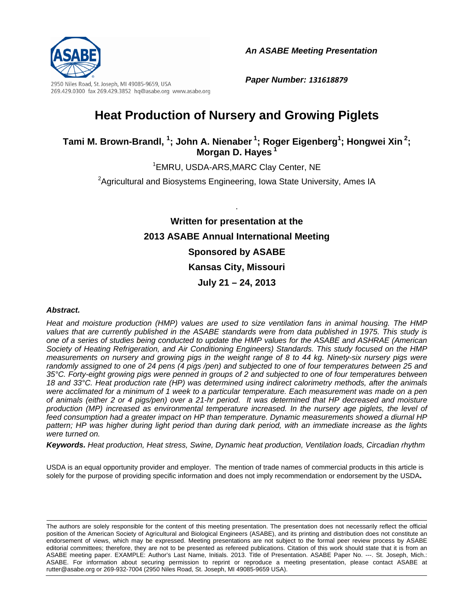

*An ASABE Meeting Presentation* 

*Paper Number: 131618879*

# **Heat Production of Nursery and Growing Piglets**

**Tami M. Brown-Brandl, 1 ; John A. Nienaber 1; Roger Eigenberg1 ; Hongwei Xin 2; Morgan D. Hayes 1** 

1 EMRU, USDA-ARS,MARC Clay Center, NE

<sup>2</sup>Agricultural and Biosystems Engineering, Iowa State University, Ames IA

.

**Written for presentation at the 2013 ASABE Annual International Meeting Sponsored by ASABE Kansas City, Missouri July 21 – 24, 2013** 

#### *Abstract.*

*Heat and moisture production (HMP) values are used to size ventilation fans in animal housing. The HMP values that are currently published in the ASABE standards were from data published in 1975. This study is one of a series of studies being conducted to update the HMP values for the ASABE and ASHRAE (American Society of Heating Refrigeration, and Air Conditioning Engineers) Standards. This study focused on the HMP measurements on nursery and growing pigs in the weight range of 8 to 44 kg. Ninety-six nursery pigs were randomly assigned to one of 24 pens (4 pigs /pen) and subjected to one of four temperatures between 25 and 35°C. Forty-eight growing pigs were penned in groups of 2 and subjected to one of four temperatures between 18 and 33°C. Heat production rate (HP) was determined using indirect calorimetry methods, after the animals were acclimated for a minimum of 1 week to a particular temperature. Each measurement was made on a pen of animals (either 2 or 4 pigs/pen) over a 21-hr period. It was determined that HP decreased and moisture production (MP) increased as environmental temperature increased. In the nursery age piglets, the level of feed consumption had a greater impact on HP than temperature. Dynamic measurements showed a diurnal HP pattern; HP was higher during light period than during dark period, with an immediate increase as the lights were turned on.* 

*Keywords. Heat production, Heat stress, Swine, Dynamic heat production, Ventilation loads, Circadian rhythm* 

USDA is an equal opportunity provider and employer. The mention of trade names of commercial products in this article is solely for the purpose of providing specific information and does not imply recommendation or endorsement by the USDA**.** 

The authors are solely responsible for the content of this meeting presentation. The presentation does not necessarily reflect the official position of the American Society of Agricultural and Biological Engineers (ASABE), and its printing and distribution does not constitute an endorsement of views, which may be expressed. Meeting presentations are not subject to the formal peer review process by ASABE editorial committees; therefore, they are not to be presented as refereed publications. Citation of this work should state that it is from an ASABE meeting paper. EXAMPLE: Author's Last Name, Initials. 2013. Title of Presentation. ASABE Paper No. ---. St. Joseph, Mich.: ASABE. For information about securing permission to reprint or reproduce a meeting presentation, please contact ASABE at rutter@asabe.org or 269-932-7004 (2950 Niles Road, St. Joseph, MI 49085-9659 USA).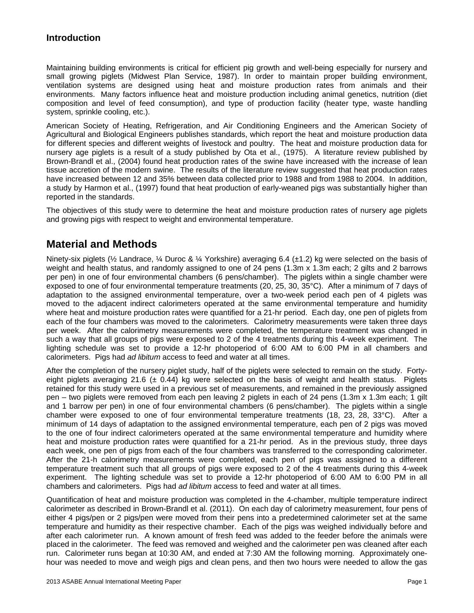### **Introduction**

Maintaining building environments is critical for efficient pig growth and well-being especially for nursery and small growing piglets (Midwest Plan Service, 1987). In order to maintain proper building environment, ventilation systems are designed using heat and moisture production rates from animals and their environments. Many factors influence heat and moisture production including animal genetics, nutrition (diet composition and level of feed consumption), and type of production facility (heater type, waste handling system, sprinkle cooling, etc.).

American Society of Heating, Refrigeration, and Air Conditioning Engineers and the American Society of Agricultural and Biological Engineers publishes standards, which report the heat and moisture production data for different species and different weights of livestock and poultry. The heat and moisture production data for nursery age piglets is a result of a study published by Ota et al., (1975). A literature review published by Brown-Brandl et al., (2004) found heat production rates of the swine have increased with the increase of lean tissue accretion of the modern swine. The results of the literature review suggested that heat production rates have increased between 12 and 35% between data collected prior to 1988 and from 1988 to 2004. In addition, a study by Harmon et al., (1997) found that heat production of early-weaned pigs was substantially higher than reported in the standards.

The objectives of this study were to determine the heat and moisture production rates of nursery age piglets and growing pigs with respect to weight and environmental temperature.

### **Material and Methods**

Ninety-six piglets (½ Landrace, ¼ Duroc & ¼ Yorkshire) averaging 6.4 (±1.2) kg were selected on the basis of weight and health status, and randomly assigned to one of 24 pens (1.3m x 1.3m each; 2 gilts and 2 barrows per pen) in one of four environmental chambers (6 pens/chamber). The piglets within a single chamber were exposed to one of four environmental temperature treatments (20, 25, 30, 35°C). After a minimum of 7 days of adaptation to the assigned environmental temperature, over a two-week period each pen of 4 piglets was moved to the adjacent indirect calorimeters operated at the same environmental temperature and humidity where heat and moisture production rates were quantified for a 21-hr period. Each day, one pen of piglets from each of the four chambers was moved to the calorimeters. Calorimetry measurements were taken three days per week. After the calorimetry measurements were completed, the temperature treatment was changed in such a way that all groups of pigs were exposed to 2 of the 4 treatments during this 4-week experiment. The lighting schedule was set to provide a 12-hr photoperiod of 6:00 AM to 6:00 PM in all chambers and calorimeters. Pigs had *ad libitum* access to feed and water at all times.

After the completion of the nursery piglet study, half of the piglets were selected to remain on the study. Fortyeight piglets averaging 21.6 ( $\pm$  0.44) kg were selected on the basis of weight and health status. Piglets retained for this study were used in a previous set of measurements, and remained in the previously assigned pen – two piglets were removed from each pen leaving 2 piglets in each of 24 pens (1.3m x 1.3m each; 1 gilt and 1 barrow per pen) in one of four environmental chambers (6 pens/chamber). The piglets within a single chamber were exposed to one of four environmental temperature treatments (18, 23, 28, 33°C). After a minimum of 14 days of adaptation to the assigned environmental temperature, each pen of 2 pigs was moved to the one of four indirect calorimeters operated at the same environmental temperature and humidity where heat and moisture production rates were quantified for a 21-hr period. As in the previous study, three days each week, one pen of pigs from each of the four chambers was transferred to the corresponding calorimeter. After the 21-h calorimetry measurements were completed, each pen of pigs was assigned to a different temperature treatment such that all groups of pigs were exposed to 2 of the 4 treatments during this 4-week experiment. The lighting schedule was set to provide a 12-hr photoperiod of 6:00 AM to 6:00 PM in all chambers and calorimeters. Pigs had *ad libitum* access to feed and water at all times.

Quantification of heat and moisture production was completed in the 4-chamber, multiple temperature indirect calorimeter as described in Brown-Brandl et al. (2011). On each day of calorimetry measurement, four pens of either 4 pigs/pen or 2 pigs/pen were moved from their pens into a predetermined calorimeter set at the same temperature and humidity as their respective chamber. Each of the pigs was weighed individually before and after each calorimeter run. A known amount of fresh feed was added to the feeder before the animals were placed in the calorimeter. The feed was removed and weighed and the calorimeter pen was cleaned after each run. Calorimeter runs began at 10:30 AM, and ended at 7:30 AM the following morning. Approximately onehour was needed to move and weigh pigs and clean pens, and then two hours were needed to allow the gas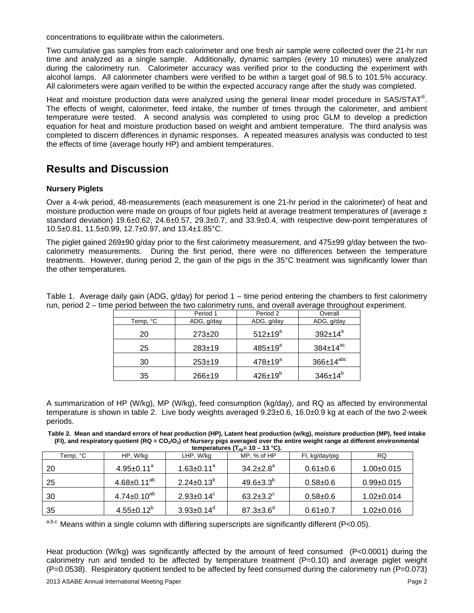concentrations to equilibrate within the calorimeters.

Two cumulative gas samples from each calorimeter and one fresh air sample were collected over the 21-hr run time and analyzed as a single sample. Additionally, dynamic samples (every 10 minutes) were analyzed during the calorimetry run. Calorimeter accuracy was verified prior to the conducting the experiment with alcohol lamps. All calorimeter chambers were verified to be within a target goal of 98.5 to 101.5% accuracy. All calorimeters were again verified to be within the expected accuracy range after the study was completed.

Heat and moisture production data were analyzed using the general linear model procedure in SAS/STAT $^{\circ}$ . The effects of weight, calorimeter, feed intake, the number of times through the calorimeter, and ambient temperature were tested. A second analysis was completed to using proc GLM to develop a prediction equation for heat and moisture production based on weight and ambient temperature. The third analysis was completed to discern differences in dynamic responses. A repeated measures analysis was conducted to test the effects of time (average hourly HP) and ambient temperatures.

### **Results and Discussion**

#### **Nursery Piglets**

Over a 4-wk period, 48-measurements (each measurement is one 21-hr period in the calorimeter) of heat and moisture production were made on groups of four piglets held at average treatment temperatures of (average  $\pm$ standard deviation) 19.6±0.62, 24.6±0.57, 29.3±0.7, and 33.9±0.4, with respective dew-point temperatures of 10.5±0.81, 11.5±0.99, 12.7±0.97, and 13.4±1.85°C.

The piglet gained 269±90 g/day prior to the first calorimetry measurement, and 475±99 g/day between the twocalorimetry measurements. During the first period, there were no differences between the temperature treatments. However, during period 2, the gain of the pigs in the 35°C treatment was significantly lower than the other temperatures.

Table 1. Average daily gain (ADG, g/day) for period 1 – time period entering the chambers to first calorimetry run, period 2 – time period between the two calorimetry runs, and overall average throughout experiment.

|          | Period 1   | Period 2       | Overall                 |
|----------|------------|----------------|-------------------------|
| Temp, °C | ADG, g/day | ADG, g/day     | ADG, g/day              |
| 20       | $273+20$   | $512 \pm 19^a$ | $392 \pm 14^a$          |
| 25       | $283+19$   | $485 \pm 19^a$ | $384\pm14^{\text{ac}}$  |
| 30       | $253+19$   | $478 \pm 19^a$ | $366 \pm 14^\text{abc}$ |
| 35       | $266 + 19$ | $426\pm19^b$   | $346 \pm 14^{b}$        |

A summarization of HP (W/kg), MP (W/kg), feed consumption (kg/day), and RQ as affected by environmental temperature is shown in table 2. Live body weights averaged 9.23±0.6, 16.0±0.9 kg at each of the two 2-week periods.

**Table 2. Mean and standard errors of heat production (HP), Latent heat production (w/kg), moisture production (MP), feed intake (FI)**, and respiratory quotient (RQ = CO<sub>2</sub>/O<sub>2</sub>) of Nursery pigs averaged over the entire weight range at different environmental  $t$ emperatures  $(T_{\text{max}} - 10 - 13 \degree C)$ 

| Temp, °C | HP, W/kg                     | LHP, W/kg                    | MP, % of HP                 | FI, kg/day/pig | <b>RQ</b>        |  |
|----------|------------------------------|------------------------------|-----------------------------|----------------|------------------|--|
| -20      | $4.95 \pm 0.11$ <sup>a</sup> | $1.63 \pm 0.11$ <sup>a</sup> | $34.2 + 2.8^a$              | $0.61 \pm 0.6$ | $1.00+0.015$     |  |
| 25       | $4.68 \pm 0.11^{ab}$         | $2.24 \pm 0.13^b$            | $49.6 \pm 3.3^{\circ}$      | $0.58 + 0.6$   | $0.99 + 0.015$   |  |
| 30       | $4.74 \pm 0.10^{ab}$         | $2.93 \pm 0.14^c$            | $63.2 \pm 3.2$ <sup>c</sup> | $0.58 + 0.6$   | $1.02 \pm 0.014$ |  |
| 35       | $4.55 \pm 0.12^b$            | $3.93 \pm 0.14$ <sup>d</sup> | $87.3 \pm 3.6^{\circ}$      | $0.61 \pm 0.7$ | $1.02 \pm 0.016$ |  |

 $a,b,c$  Means within a single column with differing superscripts are significantly different (P<0.05).

Heat production (W/kg) was significantly affected by the amount of feed consumed (P<0.0001) during the calorimetry run and tended to be affected by temperature treatment  $(P=0.10)$  and average piglet weight  $(P=0.0538)$ . Respiratory quotient tended to be affected by feed consumed during the calorimetry run  $(P=0.073)$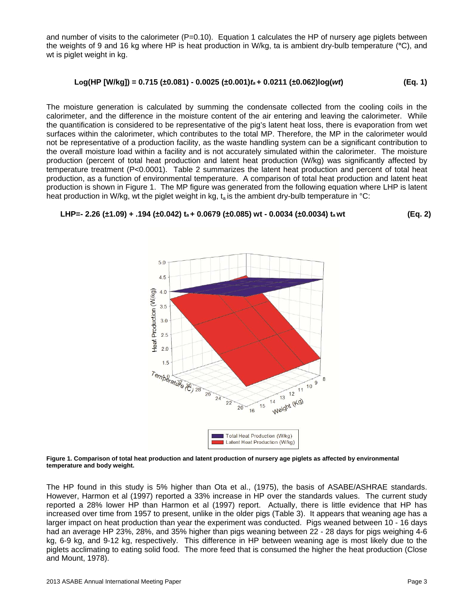and number of visits to the calorimeter ( $P=0.10$ ). Equation 1 calculates the HP of nursery age piglets between the weights of 9 and 16 kg where HP is heat production in W/kg, ta is ambient dry-bulb temperature (**°**C), and wt is piglet weight in kg.

$$
Log(HP [W/kg]) = 0.715 (\pm 0.081) - 0.0025 (\pm 0.001)t_0 + 0.0211 (\pm 0.062) \log(wt)
$$
 (Eq. 1)

The moisture generation is calculated by summing the condensate collected from the cooling coils in the calorimeter, and the difference in the moisture content of the air entering and leaving the calorimeter. While the quantification is considered to be representative of the pig's latent heat loss, there is evaporation from wet surfaces within the calorimeter, which contributes to the total MP. Therefore, the MP in the calorimeter would not be representative of a production facility, as the waste handling system can be a significant contribution to the overall moisture load within a facility and is not accurately simulated within the calorimeter. The moisture production (percent of total heat production and latent heat production (W/kg) was significantly affected by temperature treatment (P<0.0001). Table 2 summarizes the latent heat production and percent of total heat production, as a function of environmental temperature. A comparison of total heat production and latent heat production is shown in Figure 1. The MP figure was generated from the following equation where LHP is latent heat production in W/kg, wt the piglet weight in kg,  $t_a$  is the ambient dry-bulb temperature in  $^{\circ}$ C:

**LHP=- 2.26 (±1.09) + .194 (±0.042) ta + 0.0679 (±0.085) wt - 0.0034 (±0.0034) ta wt (Eq. 2)** 



**Figure 1. Comparison of total heat production and latent production of nursery age piglets as affected by environmental temperature and body weight.** 

The HP found in this study is 5% higher than Ota et al., (1975), the basis of ASABE/ASHRAE standards. However, Harmon et al (1997) reported a 33% increase in HP over the standards values. The current study reported a 28% lower HP than Harmon et al (1997) report. Actually, there is little evidence that HP has increased over time from 1957 to present, unlike in the older pigs (Table 3). It appears that weaning age has a larger impact on heat production than year the experiment was conducted. Pigs weaned between 10 - 16 days had an average HP 23%, 28%, and 35% higher than pigs weaning between 22 - 28 days for pigs weighing 4-6 kg, 6-9 kg, and 9-12 kg, respectively. This difference in HP between weaning age is most likely due to the piglets acclimating to eating solid food. The more feed that is consumed the higher the heat production (Close and Mount, 1978).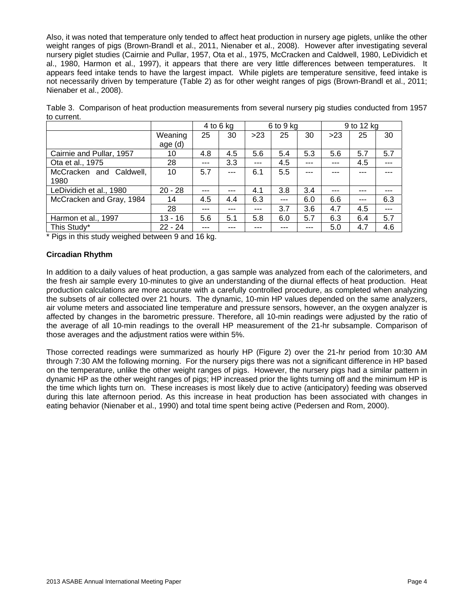Also, it was noted that temperature only tended to affect heat production in nursery age piglets, unlike the other weight ranges of pigs (Brown-Brandl et al., 2011, Nienaber et al., 2008). However after investigating several nursery piglet studies (Cairnie and Pullar, 1957, Ota et al., 1975, McCracken and Caldwell, 1980, LeDividich et al., 1980, Harmon et al., 1997), it appears that there are very little differences between temperatures. It appears feed intake tends to have the largest impact. While piglets are temperature sensitive, feed intake is not necessarily driven by temperature (Table 2) as for other weight ranges of pigs (Brown-Brandl et al., 2011; Nienaber et al., 2008).

|                                    |                    | 4 to 6 $kg$ |         | $6$ to $9$ kg |         | 9 to 12 kg |         |         |         |
|------------------------------------|--------------------|-------------|---------|---------------|---------|------------|---------|---------|---------|
|                                    | Weaning<br>age (d) | 25          | 30      | >23           | 25      | 30         | >23     | 25      | 30      |
| Cairnie and Pullar, 1957           | 10                 | 4.8         | 4.5     | 5.6           | 5.4     | 5.3        | 5.6     | 5.7     | 5.7     |
| Ota et al., 1975                   | 28                 | $---$       | 3.3     | $---$         | 4.5     | $- - -$    | ---     | 4.5     | $- - -$ |
| McCracken and<br>Caldwell,<br>1980 | 10                 | 5.7         | $- - -$ | 6.1           | 5.5     | ---        |         |         |         |
| LeDividich et al., 1980            | $20 - 28$          | ---         | ---     | 4.1           | 3.8     | 3.4        | $- - -$ | ---     | ---     |
| McCracken and Gray, 1984           | 14                 | 4.5         | 4.4     | 6.3           | $- - -$ | 6.0        | 6.6     | $- - -$ | 6.3     |
|                                    | 28                 | $- - -$     | ---     | $- - -$       | 3.7     | 3.6        | 4.7     | 4.5     | $- - -$ |
| Harmon et al., 1997                | $13 - 16$          | 5.6         | 5.1     | 5.8           | 6.0     | 5.7        | 6.3     | 6.4     | 5.7     |
| This Study*                        | $22 - 24$          |             |         |               |         | ---        | 5.0     | 4.7     | 4.6     |

Table 3. Comparison of heat production measurements from several nursery pig studies conducted from 1957 to current.

\* Pigs in this study weighed between 9 and 16 kg.

#### **Circadian Rhythm**

In addition to a daily values of heat production, a gas sample was analyzed from each of the calorimeters, and the fresh air sample every 10-minutes to give an understanding of the diurnal effects of heat production. Heat production calculations are more accurate with a carefully controlled procedure, as completed when analyzing the subsets of air collected over 21 hours. The dynamic, 10-min HP values depended on the same analyzers, air volume meters and associated line temperature and pressure sensors, however, an the oxygen analyzer is affected by changes in the barometric pressure. Therefore, all 10-min readings were adjusted by the ratio of the average of all 10-min readings to the overall HP measurement of the 21-hr subsample. Comparison of those averages and the adjustment ratios were within 5%.

Those corrected readings were summarized as hourly HP (Figure 2) over the 21-hr period from 10:30 AM through 7:30 AM the following morning. For the nursery pigs there was not a significant difference in HP based on the temperature, unlike the other weight ranges of pigs. However, the nursery pigs had a similar pattern in dynamic HP as the other weight ranges of pigs; HP increased prior the lights turning off and the minimum HP is the time which lights turn on. These increases is most likely due to active (anticipatory) feeding was observed during this late afternoon period. As this increase in heat production has been associated with changes in eating behavior (Nienaber et al., 1990) and total time spent being active (Pedersen and Rom, 2000).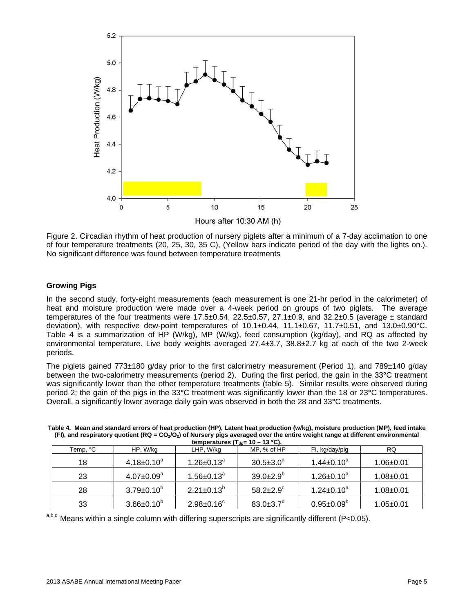

Figure 2. Circadian rhythm of heat production of nursery piglets after a minimum of a 7-day acclimation to one of four temperature treatments (20, 25, 30, 35 C), (Yellow bars indicate period of the day with the lights on.). No significant difference was found between temperature treatments

#### **Growing Pigs**

In the second study, forty-eight measurements (each measurement is one 21-hr period in the calorimeter) of heat and moisture production were made over a 4-week period on groups of two piglets. The average temperatures of the four treatments were  $17.5\pm0.54$ ,  $22.5\pm0.57$ ,  $27.1\pm0.9$ , and  $32.2\pm0.5$  (average  $\pm$  standard deviation), with respective dew-point temperatures of  $10.1 \pm 0.44$ ,  $11.1 \pm 0.67$ ,  $11.7 \pm 0.51$ , and  $13.0 \pm 0.90^{\circ}$ C. Table 4 is a summarization of HP (W/kg), MP (W/kg), feed consumption (kg/day), and RQ as affected by environmental temperature. Live body weights averaged 27.4±3.7, 38.8±2.7 kg at each of the two 2-week periods.

The piglets gained 773±180 g/day prior to the first calorimetry measurement (Period 1), and 789±140 g/day between the two-calorimetry measurements (period 2). During the first period, the gain in the 33**°**C treatment was significantly lower than the other temperature treatments (table 5). Similar results were observed during period 2; the gain of the pigs in the 33**°**C treatment was significantly lower than the 18 or 23**°**C temperatures. Overall, a significantly lower average daily gain was observed in both the 28 and 33**°**C treatments.

**Table 4. Mean and standard errors of heat production (HP), Latent heat production (w/kg), moisture production (MP), feed intake (FI), and respiratory quotient (RQ = CO<sub>2</sub>/O<sub>2</sub>) of Nursery pigs averaged over the entire weight range at different environmental** *temporatures* **(T<sub>c</sub> = 10 – 12 °C) tures (T. – 10 – 13 °C).** 

| $t$ comperatures $t_0$ $t_0$ = $t_0 - t_0$ $t_0$ . |                   |                   |                             |                         |                 |  |  |
|----------------------------------------------------|-------------------|-------------------|-----------------------------|-------------------------|-----------------|--|--|
| Temp, °C                                           | HP, W/kg          | LHP, W/kg         | MP, % of HP                 | FI, kg/day/pig          | <b>RQ</b>       |  |  |
| 18                                                 | $4.18 \pm 0.10^a$ | $1.26 \pm 0.13^a$ | $30.5 \pm 3.0^a$            | $1.44 \pm 0.10^a$       | $1.06 \pm 0.01$ |  |  |
| 23                                                 | $4.07 \pm 0.09^a$ | $1.56 \pm 0.13^a$ | $39.0 + 2.9^{\circ}$        | $1.26 \pm 0.10^a$       | $1.08 + 0.01$   |  |  |
| 28                                                 | $3.79 \pm 0.10^6$ | $2.21 \pm 0.13^b$ | $58.2 \pm 2.9^{\circ}$      | $1.24 \pm 0.10^a$       | $1.08 + 0.01$   |  |  |
| 33                                                 | $3.66 \pm 0.10^6$ | $2.98 \pm 0.16^c$ | $83.0 \pm 3.7$ <sup>d</sup> | $0.95 \pm 0.09^{\circ}$ | $1.05 + 0.01$   |  |  |

a,b,c Means within a single column with differing superscripts are significantly different (P<0.05).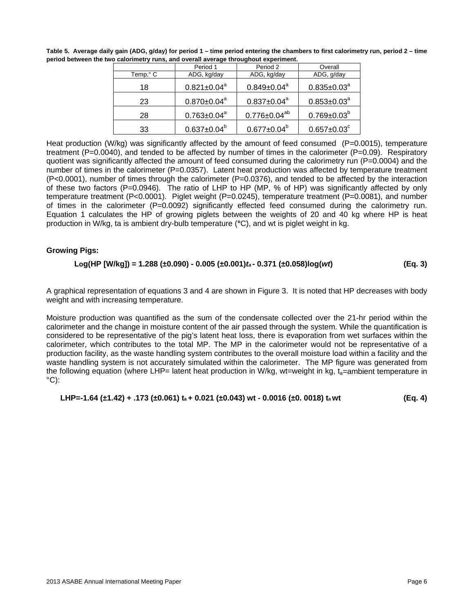|          | Period 1           | Period 2              | Overall                       |
|----------|--------------------|-----------------------|-------------------------------|
| Temp,° C | ADG, kg/day        | ADG, kg/day           | ADG, g/day                    |
| 18       | $0.821 \pm 0.04^a$ | $0.849 \pm 0.04^a$    | $0.835 \pm 0.03^a$            |
| 23       | $0.870 \pm 0.04^a$ | $0.837 \pm 0.04^a$    | $0.853 \pm 0.03^a$            |
| 28       | $0.763 \pm 0.04^a$ | $0.776 \pm 0.04^{ab}$ | $0.769 \pm 0.03^b$            |
| 33       | $0.637 \pm 0.04^b$ | $0.677 \pm 0.04^b$    | $0.657 \pm 0.03$ <sup>c</sup> |

**Table 5. Average daily gain (ADG, g/day) for period 1 – time period entering the chambers to first calorimetry run, period 2 – time period between the two calorimetry runs, and overall average throughout experiment.** 

Heat production (W/kg) was significantly affected by the amount of feed consumed (P=0.0015), temperature treatment (P=0.0040), and tended to be affected by number of times in the calorimeter (P=0.09). Respiratory quotient was significantly affected the amount of feed consumed during the calorimetry run (P=0.0004) and the number of times in the calorimeter (P=0.0357). Latent heat production was affected by temperature treatment (P<0.0001), number of times through the calorimeter (P=0.0376), and tended to be affected by the interaction of these two factors (P=0.0946). The ratio of LHP to HP (MP, % of HP) was significantly affected by only temperature treatment (P<0.0001). Piglet weight (P=0.0245), temperature treatment (P=0.0081), and number of times in the calorimeter (P=0.0092) significantly effected feed consumed during the calorimetry run. Equation 1 calculates the HP of growing piglets between the weights of 20 and 40 kg where HP is heat production in W/kg, ta is ambient dry-bulb temperature (**°**C), and wt is piglet weight in kg.

#### **Growing Pigs:**

#### **Log(HP [W/kg]) = 1.288 (±0.090) - 0.005 (±0.001)***ta* **- 0.371 (±0.058)log(***wt***) (Eq. 3)**

A graphical representation of equations 3 and 4 are shown in Figure 3. It is noted that HP decreases with body weight and with increasing temperature.

Moisture production was quantified as the sum of the condensate collected over the 21-hr period within the calorimeter and the change in moisture content of the air passed through the system. While the quantification is considered to be representative of the pig's latent heat loss, there is evaporation from wet surfaces within the calorimeter, which contributes to the total MP. The MP in the calorimeter would not be representative of a production facility, as the waste handling system contributes to the overall moisture load within a facility and the waste handling system is not accurately simulated within the calorimeter. The MP figure was generated from the following equation (where LHP= latent heat production in W/kg, wt=weight in kg,  $t_a$ =ambient temperature in  $^{\circ}$ C):

LHP=
$$
-1.64 (\pm 1.42) + .173 (\pm 0.061) t_a + 0.021 (\pm 0.043)
$$
 wt  $- 0.0016 (\pm 0.0018) t_a$  wt (Eq. 4)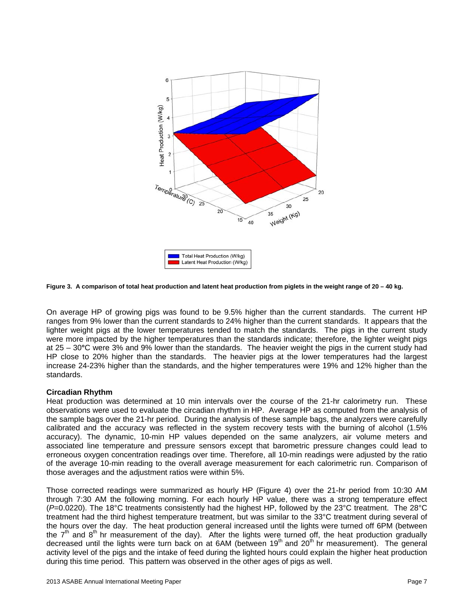

**Figure 3. A comparison of total heat production and latent heat production from piglets in the weight range of 20 – 40 kg.**

On average HP of growing pigs was found to be 9.5% higher than the current standards. The current HP ranges from 9% lower than the current standards to 24% higher than the current standards. It appears that the lighter weight pigs at the lower temperatures tended to match the standards. The pigs in the current study were more impacted by the higher temperatures than the standards indicate; therefore, the lighter weight pigs at 25 – 30**°**C were 3% and 9% lower than the standards. The heavier weight the pigs in the current study had HP close to 20% higher than the standards. The heavier pigs at the lower temperatures had the largest increase 24-23% higher than the standards, and the higher temperatures were 19% and 12% higher than the standards.

#### **Circadian Rhythm**

Heat production was determined at 10 min intervals over the course of the 21-hr calorimetry run. These observations were used to evaluate the circadian rhythm in HP. Average HP as computed from the analysis of the sample bags over the 21-hr period. During the analysis of these sample bags, the analyzers were carefully calibrated and the accuracy was reflected in the system recovery tests with the burning of alcohol (1.5% accuracy). The dynamic, 10-min HP values depended on the same analyzers, air volume meters and associated line temperature and pressure sensors except that barometric pressure changes could lead to erroneous oxygen concentration readings over time. Therefore, all 10-min readings were adjusted by the ratio of the average 10-min reading to the overall average measurement for each calorimetric run. Comparison of those averages and the adjustment ratios were within 5%.

Those corrected readings were summarized as hourly HP (Figure 4) over the 21-hr period from 10:30 AM through 7:30 AM the following morning. For each hourly HP value, there was a strong temperature effect (*P*=0.0220). The 18°C treatments consistently had the highest HP, followed by the 23°C treatment. The 28°C treatment had the third highest temperature treatment, but was similar to the 33°C treatment during several of the hours over the day. The heat production general increased until the lights were turned off 6PM (between the  $7<sup>th</sup>$  and  $8<sup>th</sup>$  hr measurement of the day). After the lights were turned off, the heat production gradually decreased until the lights were turn back on at 6AM (between  $19<sup>th</sup>$  and  $20<sup>th</sup>$  hr measurement). The general activity level of the pigs and the intake of feed during the lighted hours could explain the higher heat production during this time period. This pattern was observed in the other ages of pigs as well.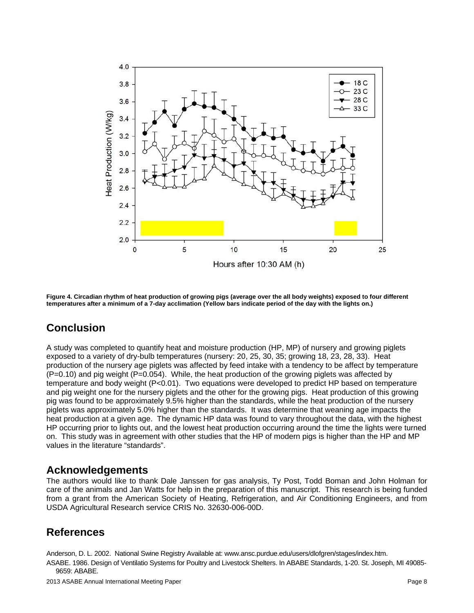

**Figure 4. Circadian rhythm of heat production of growing pigs (average over the all body weights) exposed to four different temperatures after a minimum of a 7-day acclimation (Yellow bars indicate period of the day with the lights on.)** 

## **Conclusion**

A study was completed to quantify heat and moisture production (HP, MP) of nursery and growing piglets exposed to a variety of dry-bulb temperatures (nursery: 20, 25, 30, 35; growing 18, 23, 28, 33). Heat production of the nursery age piglets was affected by feed intake with a tendency to be affect by temperature  $(P=0.10)$  and pig weight  $(P=0.054)$ . While, the heat production of the growing piglets was affected by temperature and body weight (P<0.01). Two equations were developed to predict HP based on temperature and pig weight one for the nursery piglets and the other for the growing pigs. Heat production of this growing pig was found to be approximately 9.5% higher than the standards, while the heat production of the nursery piglets was approximately 5.0% higher than the standards. It was determine that weaning age impacts the heat production at a given age. The dynamic HP data was found to vary throughout the data, with the highest HP occurring prior to lights out, and the lowest heat production occurring around the time the lights were turned on. This study was in agreement with other studies that the HP of modern pigs is higher than the HP and MP values in the literature "standards".

### **Acknowledgements**

The authors would like to thank Dale Janssen for gas analysis, Ty Post, Todd Boman and John Holman for care of the animals and Jan Watts for help in the preparation of this manuscript. This research is being funded from a grant from the American Society of Heating, Refrigeration, and Air Conditioning Engineers, and from USDA Agricultural Research service CRIS No. 32630-006-00D.

# **References**

Anderson, D. L. 2002. National Swine Registry Available at: www.ansc.purdue.edu/users/dlofgren/stages/index.htm.

ASABE. 1986. Design of Ventilatio Systems for Poultry and Livestock Shelters. In ABABE Standards, 1-20. St. Joseph, MI 49085- 9659: ABABE.